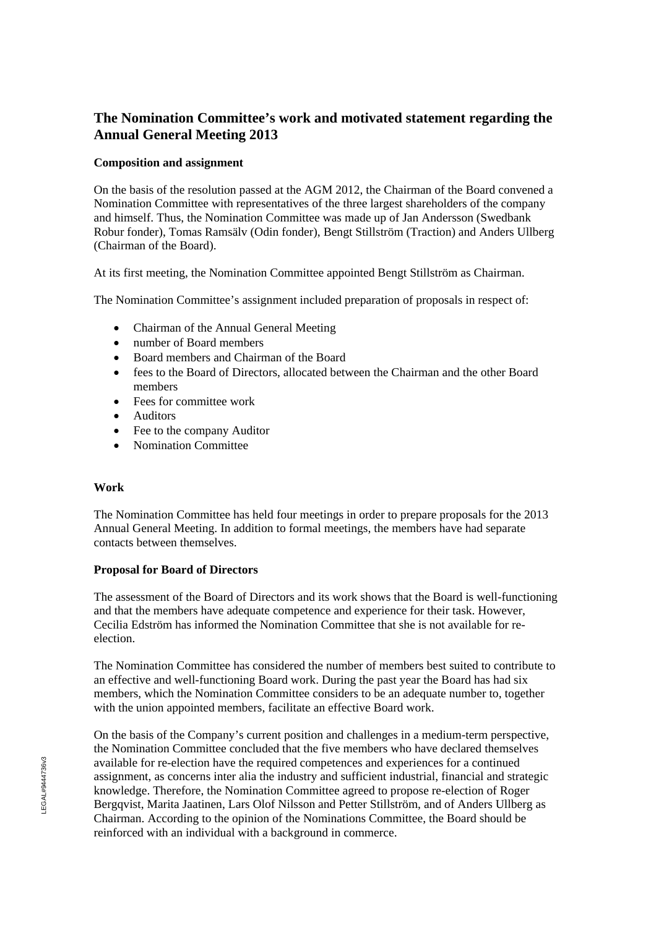# **The Nomination Committee's work and motivated statement regarding the Annual General Meeting 2013**

#### **Composition and assignment**

On the basis of the resolution passed at the AGM 2012, the Chairman of the Board convened a Nomination Committee with representatives of the three largest shareholders of the company and himself. Thus, the Nomination Committee was made up of Jan Andersson (Swedbank Robur fonder), Tomas Ramsälv (Odin fonder), Bengt Stillström (Traction) and Anders Ullberg (Chairman of the Board).

At its first meeting, the Nomination Committee appointed Bengt Stillström as Chairman.

The Nomination Committee's assignment included preparation of proposals in respect of:

- Chairman of the Annual General Meeting
- number of Board members
- Board members and Chairman of the Board
- fees to the Board of Directors, allocated between the Chairman and the other Board members
- Fees for committee work
- Auditors
- Fee to the company Auditor
- Nomination Committee

# **Work**

The Nomination Committee has held four meetings in order to prepare proposals for the 2013 Annual General Meeting. In addition to formal meetings, the members have had separate contacts between themselves.

# **Proposal for Board of Directors**

The assessment of the Board of Directors and its work shows that the Board is well-functioning and that the members have adequate competence and experience for their task. However, Cecilia Edström has informed the Nomination Committee that she is not available for reelection.

The Nomination Committee has considered the number of members best suited to contribute to an effective and well-functioning Board work. During the past year the Board has had six members, which the Nomination Committee considers to be an adequate number to, together with the union appointed members, facilitate an effective Board work.

On the basis of the Company's current position and challenges in a medium-term perspective, the Nomination Committee concluded that the five members who have declared themselves available for re-election have the required competences and experiences for a continued assignment, as concerns inter alia the industry and sufficient industrial, financial and strategic knowledge. Therefore, the Nomination Committee agreed to propose re-election of Roger Bergqvist, Marita Jaatinen, Lars Olof Nilsson and Petter Stillström, and of Anders Ullberg as Chairman. According to the opinion of the Nominations Committee, the Board should be reinforced with an individual with a background in commerce.